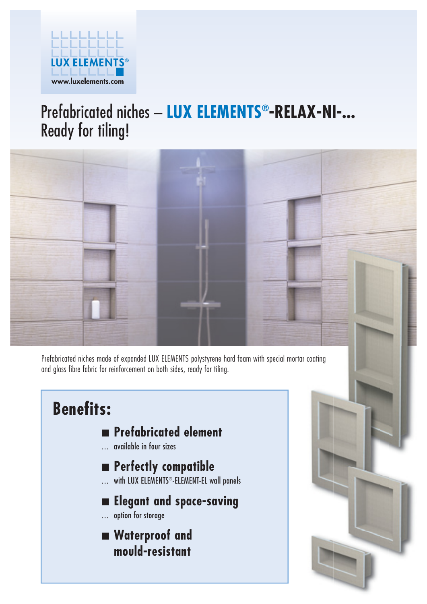

# Prefabricated niches – **LUX ELEMENTS®-RELAX-NI-...**  Ready for tiling!



Prefabricated niches made of expanded LUX ELEMENTS polystyrene hard foam with special mortar coating and glass fibre fabric for reinforcement on both sides, ready for tiling.